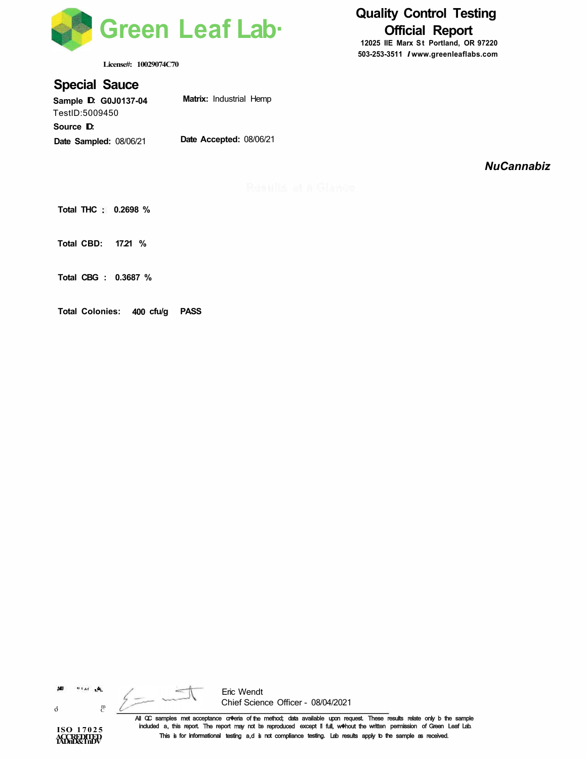

**License#: 10029074C70** 

### **Special Sauce**

**Sample ID: G0J0137-04**  TestlD:5009450 Source **D**: **Date Sampled:** 08/06/21 **Matrix:** Industrial Hemp **Date Accepted:** 08/06/21

## **Quality Control Testing Official Report**

**12025 IIE Marx St Portland, OR 97220 503-253-3511** *I* **www.greenleaflabs.com**

*NuCannabiz* 

**Total THC : 0.2698 %** 

**Total CBD: 17.21 %** 

**Total CBG : 0.3687 %** 

**Total Colonies: 400 cfu/g PASS** 

 $0$  far  $\frac{1}{2}$ 507

o' <sup>m</sup> C

**ISO 17025 AGGREDITED** 

Eric Wendt Chief Science Officer - 08/04/2021

All QC samples met acceptance cr�eria of the method; data available upon request. These results relate only b the sample included a, this report. The report may not be reproduced except i1 full, w�hout the written permission of Green Leaf Lab. This is for informational testing a,d is not compliance testing. Lab results apply to the sample as received.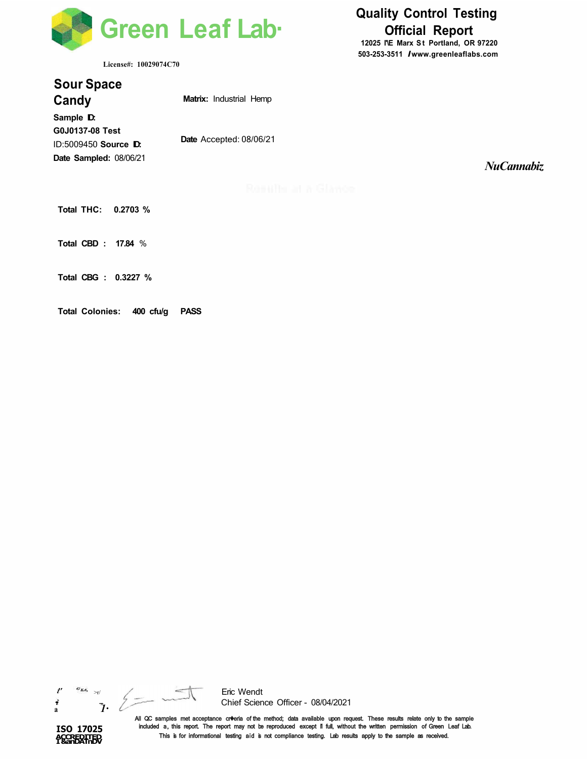

**License#: 10029074C70** 

# **Quality Control Testing Official Report**

**12025 l'\E Marx St Portland, OR 97220 503-253-3511** *I* **www.greenleaflabs.com**

*NuCannabiz* 

| <b>SOUL Shace</b><br>Candy                                                     | <b>Matrix:</b> Industrial Hemp |
|--------------------------------------------------------------------------------|--------------------------------|
| Sample D.<br>G0J0137-08 Test<br>ID:5009450 Source D:<br>Date Sampled: 08/06/21 | Date Accepted: 08/06/21        |
| Total THC: 0.2703 %                                                            | Romults at a                   |

**Total CBD : 17.84** %

**Sour Space** 

**Total CBG : 0.3227 %** 

**Total Colonies: 400 cfu/g PASS** 



**ISO 17025 ACCREDITED I &anDATnDV** 



Eric Wendt Chief Science Officer - 08/04/2021

All QC samples met acceptance cr�eria of the method; data available upon request. These results relate only to the sample included a, this report. The report may not be reproduced except i1 full, without the written permission of Green Leaf Lab. This is for informational testing aid is not compliance testing. Lab results apply to the sample as received.